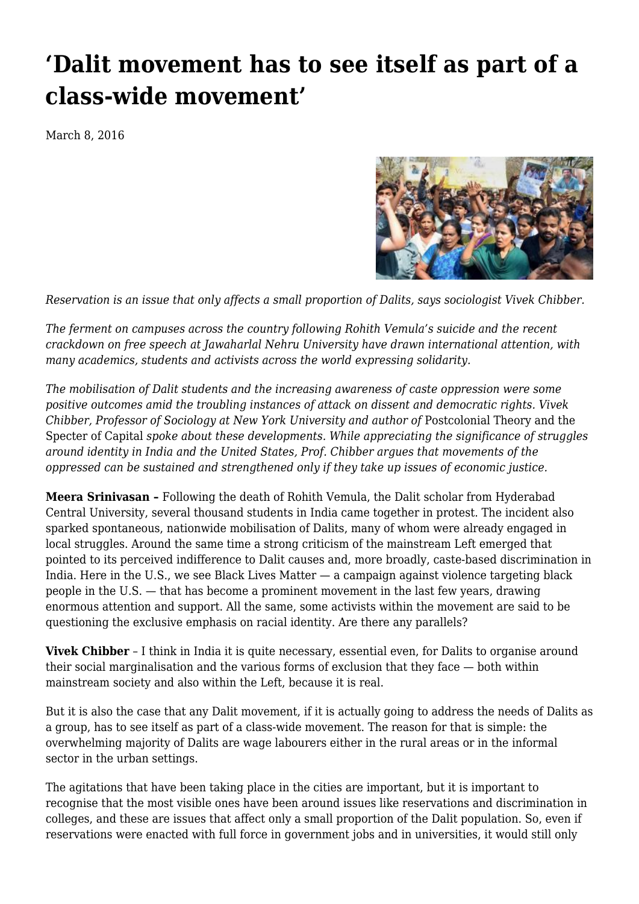## **['Dalit movement has to see itself as part of a](https://newpol.org/dalit-movement-has-see-itself-part-class-wide-movement/) [class-wide movement'](https://newpol.org/dalit-movement-has-see-itself-part-class-wide-movement/)**

March 8, 2016



*Reservation is an issue that only affects a small proportion of Dalits, says sociologist Vivek Chibber.*

*The ferment on campuses across the country following Rohith Vemula's suicide and the recent crackdown on free speech at Jawaharlal Nehru University have drawn international attention, with many academics, students and activists across the world expressing solidarity.*

*The mobilisation of Dalit students and the increasing awareness of caste oppression were some positive outcomes amid the troubling instances of attack on dissent and democratic rights. Vivek Chibber, Professor of Sociology at New York University and author of Postcolonial Theory and the* Specter of Capital *spoke about these developments. While appreciating the significance of struggles around identity in India and the United States, Prof. Chibber argues that movements of the oppressed can be sustained and strengthened only if they take up issues of economic justice.*

**Meera Srinivasan –** Following the death of Rohith Vemula, the Dalit scholar from Hyderabad Central University, several thousand students in India came together in protest. The incident also sparked spontaneous, nationwide mobilisation of Dalits, many of whom were already engaged in local struggles. Around the same time a strong criticism of the mainstream Left emerged that pointed to its perceived indifference to Dalit causes and, more broadly, caste-based discrimination in India. Here in the U.S., we see Black Lives Matter — a campaign against violence targeting black people in the U.S. — that has become a prominent movement in the last few years, drawing enormous attention and support. All the same, some activists within the movement are said to be questioning the exclusive emphasis on racial identity. Are there any parallels?

**Vivek Chibber** – I think in India it is quite necessary, essential even, for Dalits to organise around their social marginalisation and the various forms of exclusion that they face — both within mainstream society and also within the Left, because it is real.

But it is also the case that any Dalit movement, if it is actually going to address the needs of Dalits as a group, has to see itself as part of a class-wide movement. The reason for that is simple: the overwhelming majority of Dalits are wage labourers either in the rural areas or in the informal sector in the urban settings.

[The agitations that have been taking place in the cities are important](http://www.thehindu.com/news/cities/Hyderabad/candle-light-vigil-for-rohith-vemula-rahul-gandhi-at-university-of-hyderabad/article8168674.ece), but it is important to recognise that the most visible ones have been around issues like reservations and discrimination in colleges, and these are issues that affect only a small proportion of the Dalit population. So, even if reservations were enacted with full force in government jobs and in universities, it would still only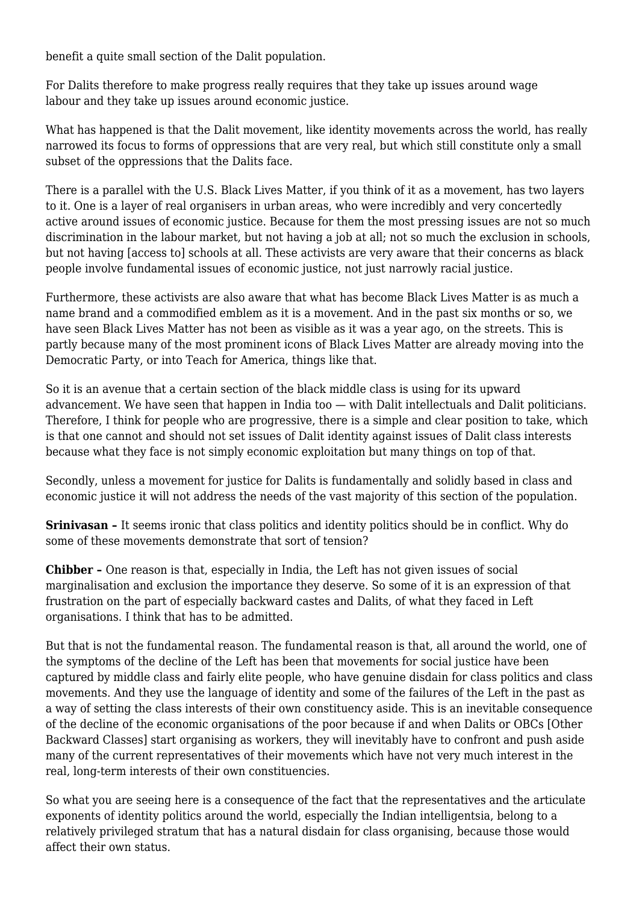benefit a quite small section of the Dalit population.

For [Dalits therefore to make progress really requires that they take up issues around wage](http://www.thehindu.com/news/national/dalit-scholar-rohith-vemula-could-not-do-research-as-he-was-embroiled-in-probes/article8131320.ece) [labour](http://www.thehindu.com/news/national/dalit-scholar-rohith-vemula-could-not-do-research-as-he-was-embroiled-in-probes/article8131320.ece) and they take up issues around economic justice.

What has happened is that the Dalit movement, like identity movements across the world, has really narrowed its focus to forms of oppressions that are very real, but which still constitute only a small subset of the oppressions that the Dalits face.

There is a parallel with the U.S. Black Lives Matter, if you think of it as a movement, has two layers to it. One is a layer of real organisers in urban areas, who were incredibly and very concertedly active around issues of economic justice. Because for them the most pressing issues are not so much discrimination in the labour market, but not having a job at all; not so much the exclusion in schools, but not having [access to] schools at all. These activists are very aware that their concerns as black people involve fundamental issues of economic justice, not just narrowly racial justice.

Furthermore, these activists are also aware that what has become Black Lives Matter is as much a name brand and a commodified emblem as it is a movement. And in the past six months or so, we have seen Black Lives Matter has not been as visible as it was a year ago, on the streets. This is partly because many of the most prominent icons of Black Lives Matter are already moving into the Democratic Party, or into Teach for America, things like that.

So it is an avenue that a certain section of the black middle class is using for its upward advancement. We have seen that happen in India too — with Dalit intellectuals and Dalit politicians. Therefore, I think for people who are progressive, there is a simple and clear position to take, which is that one cannot and should not set issues of Dalit identity against issues of Dalit class interests because what they face is not simply economic exploitation but many things on top of that.

Secondly, unless a movement for justice for Dalits is fundamentally and solidly based in class and economic justice it will not address the needs of the vast majority of this section of the population.

**Srinivasan -** It seems ironic that class politics and identity politics should be in conflict. Why do some of these movements demonstrate that sort of tension?

**Chibber –** One reason is that, especially in India, the Left has not given issues of social marginalisation and exclusion the importance they deserve. So some of it is an expression of that frustration on the part of especially backward castes and Dalits, of what they faced in Left organisations. I think that has to be admitted.

But that is not the fundamental reason. The fundamental reason is that, all around the world, one of the symptoms of the decline of the Left has been that movements for social justice have been captured by middle class and fairly elite people, who have genuine disdain for class politics and class movements. And they use the language of identity and some of the failures of the Left in the past as a way of setting the class interests of their own constituency aside. This is an inevitable consequence of the decline of the economic organisations of the poor because if and when Dalits or OBCs [Other Backward Classes] start organising as workers, they will inevitably have to confront and push aside many of the current representatives of their movements which have not very much interest in the real, long-term interests of their own constituencies.

So what you are seeing here is a consequence of the fact that the representatives and the articulate exponents of identity politics around the world, especially the Indian intelligentsia, belong to a relatively privileged stratum that has a natural disdain for class organising, because those would affect their own status.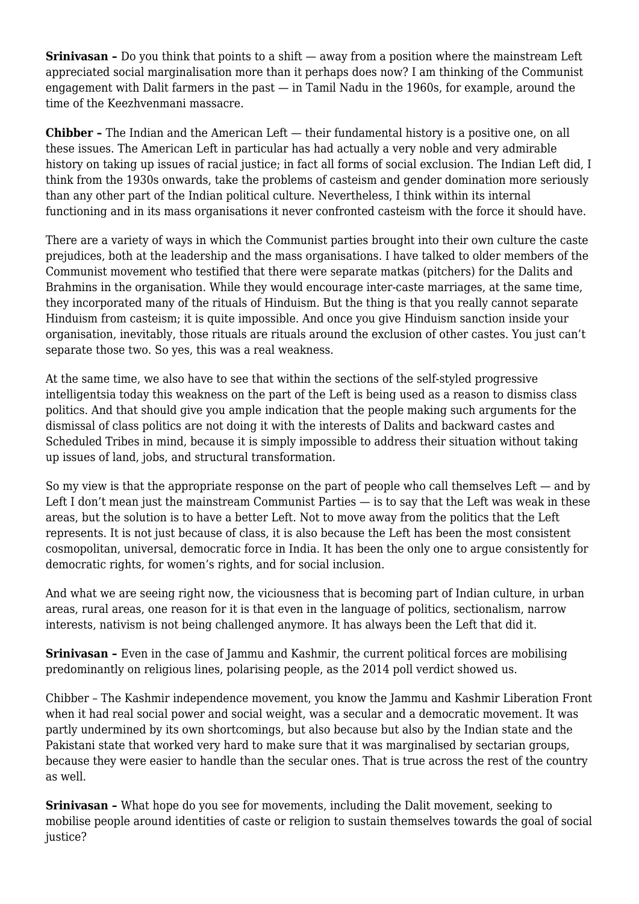**Srinivasan –** Do you think that points to a shift — away from a position where the mainstream Left appreciated social marginalisation more than it perhaps does now? I am thinking of the Communist engagement with Dalit farmers in the past — in Tamil Nadu in the 1960s, for example, around the time of the Keezhvenmani massacre.

**Chibber –** The Indian and the American Left — their fundamental history is a positive one, on all these issues. The American Left in particular has had actually a very noble and very admirable history on taking up issues of racial justice; in fact all forms of social exclusion. The Indian Left did, I think from the 1930s onwards, take the problems of casteism and gender domination more seriously than any other part of the Indian political culture. Nevertheless, I think within its internal functioning and in its mass organisations it never confronted casteism with the force it should have.

There are a variety of ways in which the Communist parties brought into their own culture the caste prejudices, both at the leadership and the mass organisations. I have talked to older members of the Communist movement who testified that there were separate matkas (pitchers) for the Dalits and Brahmins in the organisation. While they would encourage inter-caste marriages, at the same time, they incorporated many of the rituals of Hinduism. But the thing is that you really cannot separate Hinduism from casteism; it is quite impossible. And once you give Hinduism sanction inside your organisation, inevitably, those rituals are rituals around the exclusion of other castes. You just can't separate those two. So yes, this was a real weakness.

At the same time, we also have to see that within the sections of the self-styled progressive intelligentsia today this weakness on the part of the Left is being used as a reason to dismiss class politics. And that should give you ample indication that the people making such arguments for the dismissal of class politics are not doing it with the interests of Dalits and backward castes and Scheduled Tribes in mind, because it is simply impossible to address their situation without taking up issues of land, jobs, and structural transformation.

So my view is that the appropriate response on the part of people who call themselves Left  $-$  and by Left I don't mean just the mainstream Communist Parties — is to say that the Left was weak in these areas, but the solution is to have a better Left. Not to move away from the politics that the Left represents. It is not just because of class, it is also because the Left has been the most consistent cosmopolitan, universal, democratic force in India. It has been the only one to argue consistently for democratic rights, for women's rights, and for social inclusion.

And what we are seeing right now, the viciousness that is becoming part of Indian culture, in urban areas, rural areas, one reason for it is that even in the language of politics, sectionalism, narrow interests, nativism is not being challenged anymore. It has always been the Left that did it.

**Srinivasan -** Even in the case of Jammu and Kashmir, the current political forces are mobilising predominantly on religious lines, polarising people, as the 2014 poll verdict showed us.

Chibber – The Kashmir independence movement, you know [the Jammu and Kashmir Liberation Front](http://www.thehindu.com/news/national/other-states/lashkaretaiba-commander-abu-qasim-killing-violent-protests-shutdown-in-kashmir/article7823142.ece) [when it had real social power and social weight,](http://www.thehindu.com/news/national/other-states/lashkaretaiba-commander-abu-qasim-killing-violent-protests-shutdown-in-kashmir/article7823142.ece) was a secular and a democratic movement. It was partly undermined by its own shortcomings, but also because but also by the Indian state and the Pakistani state that worked very hard to make sure that it was marginalised by sectarian groups, because they were easier to handle than the secular ones. That is true across the rest of the country as well.

**Srinivasan –** What hope do you see for movements, including the Dalit movement, seeking to mobilise people around identities of caste or religion to sustain themselves towards the goal of social justice?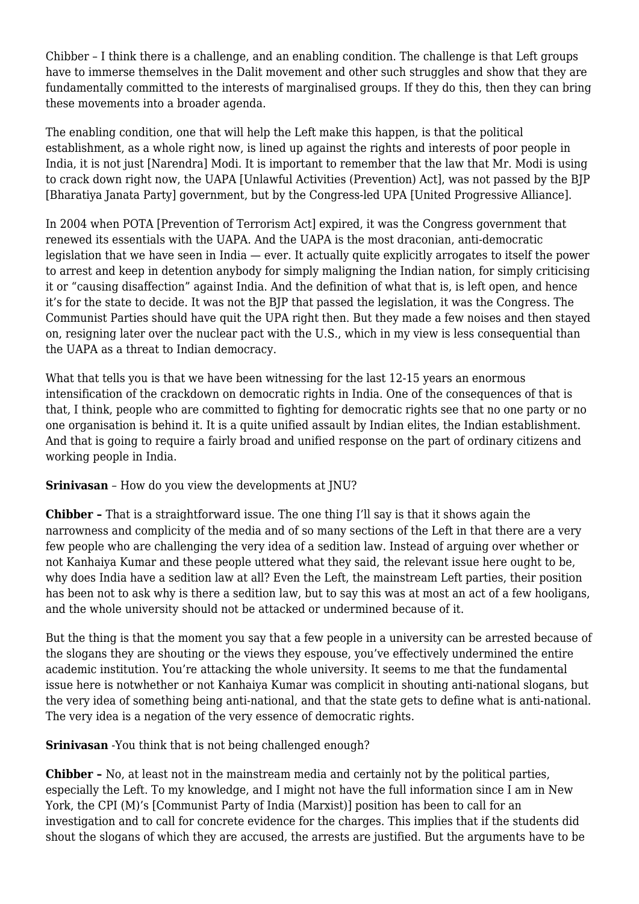Chibber – I think there is a challenge, and an enabling condition. The challenge is that Left groups have to immerse themselves in the Dalit movement and other such struggles and show that they are fundamentally committed to the interests of marginalised groups. If they do this, then they can bring these movements into a broader agenda.

The enabling condition, one that will help the Left make this happen, is that the political establishment, as a whole right now, is lined up against the rights and interests of poor people in India, it is not just [Narendra] Modi. It is important to remember that the law that [Mr. Modi is using](http://www.thehindu.com/specials/in-depth/jawaharlal-nehru-university-row-what-is-the-outrage-all-about/article8244872.ece) [to crack down right now, the UAPA \[Unlawful Activities \(Prevention\) Act\], w](http://www.thehindu.com/specials/in-depth/jawaharlal-nehru-university-row-what-is-the-outrage-all-about/article8244872.ece)as not passed by the BJP [Bharatiya Janata Party] government, but by the Congress-led UPA [United Progressive Alliance].

In 2004 when POTA [Prevention of Terrorism Act] expired, it was the Congress government that renewed its essentials with the UAPA. And the UAPA is the most draconian, anti-democratic legislation that we have seen in India — ever. It actually quite explicitly arrogates to itself the power to arrest and keep in detention anybody for simply maligning the Indian nation, for simply criticising it or "causing disaffection" against India. And the definition of what that is, is left open, and hence it's for the state to decide. It was not the BJP that passed the legislation, it was the Congress. The Communist Parties should have quit the UPA right then. But they made a few noises and then stayed on, resigning later over the nuclear pact with the U.S., which in my view is less consequential than the UAPA as a threat to Indian democracy.

What that tells you is that we have been witnessing for the last 12-15 years an [enormous](http://www.thehindu.com/news/national/few-instances-of-acts-attracting-disciplinary-action-in-jnu-govt/article8300240.ece) [intensification of the crackdown on democratic rights in India.](http://www.thehindu.com/news/national/few-instances-of-acts-attracting-disciplinary-action-in-jnu-govt/article8300240.ece) One of the consequences of that is that, I think, people who are committed to fighting for democratic rights see that no one party or no one organisation is behind it. It is a quite unified assault by Indian elites, the Indian establishment. And that is going to require a fairly broad and unified response on the part of ordinary citizens and working people in India.

## **Srinivasan** – How do you view the developments at JNU?

**Chibber –** That is a straightforward issue. The one thing I'll say is that it shows again the narrowness and complicity of the media and of so many sections of the Left in that there are a very few people who are challenging the very idea of a sedition law. Instead of arguing over [whether or](http://www.thehindu.com/news/cities/Delhi/jnu-row-two-of-seven-videos-manipulated-says-forensic-probe-report/article8302188.ece) [not Kanhaiya Kumar and these people uttered what they said,](http://www.thehindu.com/news/cities/Delhi/jnu-row-two-of-seven-videos-manipulated-says-forensic-probe-report/article8302188.ece) the relevant issue here ought to be, why does India have a sedition law at all? Even the Left, the mainstream Left parties, their position has been not to ask why is there a sedition law, but to say this was at most an act of a few hooligans, and the whole university should not be attacked or undermined because of it.

But the thing is that the moment you say that a few people in a university can be arrested because of the slogans they are shouting or the views they espouse, you've effectively undermined the entire academic institution. You're attacking the whole university. It seems to me that the fundamental issue here is not[whether or not Kanhaiya Kumar was complicit in shouting anti-national slogans](http://www.thehindu.com/news/national/sedition-charge-against-kanhaiya-kumar-may-be-dropped/article8249909.ece), but the very idea of something being anti-national, and that the state gets to define what is anti-national. The very idea is a negation of the very essence of democratic rights.

## **Srinivasan** -You think that is not being challenged enough?

**Chibber –** No, at least not in the mainstream media and certainly not by the political parties, especially the Left. To my knowledge, and I might not have the full information since I am in New York, the CPI (M)'s [Communist Party of India (Marxist)] position has been to call for an investigation and to call for concrete evidence for the charges. This implies that if the students did shout the slogans of which they are accused, the arrests are justified. But the arguments have to be